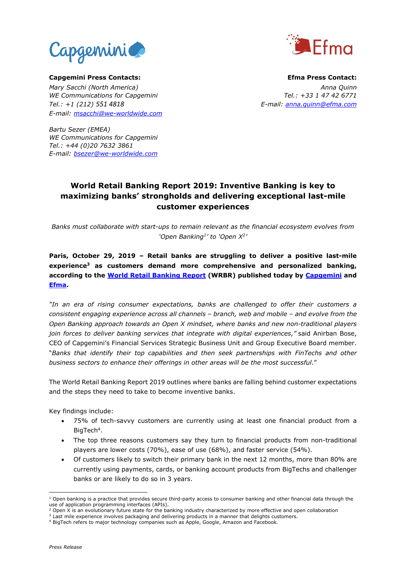



**Capgemini Press Contacts: Efma Press Contact:** *Mary Sacchi (North America) Anna Quinn WE Communications for Capgemini Tel.: +33 1 47 42 6771 Tel.: +1 (212) 551 4818 E-mail: anna.quinn@efma.com E-mail: [msacchi@we-worldwide.com](mailto:msacchi@we-worldwide.com)*

*Bartu Sezer (EMEA) WE Communications for Capgemini Tel.: +44 (0)20 7632 3861 E-mail: [bsezer@we-worldwide.com](mailto:bsezer@we-worldwide.com)*

## **World Retail Banking Report 2019: Inventive Banking is key to maximizing banks' strongholds and delivering exceptional last-mile customer experiences**

*Banks must collaborate with start-ups to remain relevant as the financial ecosystem evolves from 'Open Banking<sup>1</sup> ' to 'Open X<sup>2</sup> '*

### **Paris, October 29, 2019 – Retail banks are struggling to deliver a positive last-mile experience<sup>3</sup> as customers demand more comprehensive and personalized banking, according to the [World Retail Banking](http://www.worldretailbankingreport.com/) Report (WRBR) published today by [Capgemini](http://www.capgemini.com/) and [Efma.](https://www.efma.com/)**

*"In an era of rising consumer expectations, banks are challenged to offer their customers a consistent engaging experience across all channels – branch, web and mobile – and evolve from the Open Banking approach towards an Open X mindset, where banks and new non-traditional players join forces to deliver banking services that integrate with digital experiences,"* said Anirban Bose, CEO of Capgemini's Financial Services Strategic Business Unit and Group Executive Board member. "*Banks that identify their top capabilities and then seek partnerships with FinTechs and other business sectors to enhance their offerings in other areas will be the most successful*."

The [World Retail Banking Report](http://www.worldretailbankingreport.com/) 2019 outlines where banks are falling behind customer expectations and the steps they need to take to become inventive banks.

Key findings include:

- 75% of tech-savvy customers are currently using at least one financial product from a BigTech<sup>4</sup>.
- The top three reasons customers say they turn to financial products from non-traditional players are lower costs (70%), ease of use (68%), and faster service (54%).
- Of customers likely to switch their primary bank in the next 12 months, more than 80% are currently using payments, cards, or banking account products from BigTechs and challenger banks or are likely to do so in 3 years.

<sup>1</sup>  $1$  Open banking is a practice that provides secure third-party access to consumer banking and other financial data through the use of application programming interfaces (APIs).

<sup>&</sup>lt;sup>2</sup> Open X is an evolutionary future state for the banking industry characterized by more effective and open collaboration

 $3$  Last mile experience involves packaging and delivering products in a manner that delights customers.

<sup>4</sup> BigTech refers to major technology companies such as Apple, Google, Amazon and Facebook.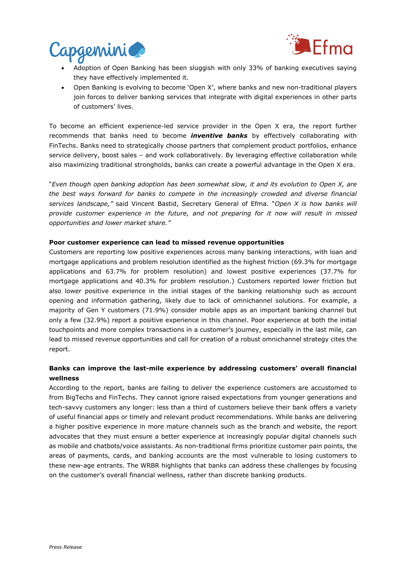



- Adoption of Open Banking has been sluggish with only 33% of banking executives saying they have effectively implemented it.
- Open Banking is evolving to become 'Open X', where banks and new non-traditional players join forces to deliver banking services that integrate with digital experiences in other parts of customers' lives.

To become an efficient experience-led service provider in the Open X era, the report further recommends that banks need to become *inventive banks* by effectively collaborating with FinTechs. Banks need to strategically choose partners that complement product portfolios, enhance service delivery, boost sales – and work collaboratively. By leveraging effective collaboration while also maximizing traditional strongholds, banks can create a powerful advantage in the Open X era.

"*Even though open banking adoption has been somewhat slow, it and its evolution to Open X, are the best ways forward for banks to compete in the increasingly crowded and diverse financial services landscape,"* said Vincent Bastid, Secretary General of Efma. "*Open X is how banks will provide customer experience in the future, and not preparing for it now will result in missed opportunities and lower market share."*

### **Poor customer experience can lead to missed revenue opportunities**

Customers are reporting low positive experiences across many banking interactions, with loan and mortgage applications and problem resolution identified as the highest friction (69.3% for mortgage applications and 63.7% for problem resolution) and lowest positive experiences (37.7% for mortgage applications and 40.3% for problem resolution.) Customers reported lower friction but also lower positive experience in the initial stages of the banking relationship such as account opening and information gathering, likely due to lack of omnichannel solutions. For example, a majority of Gen Y customers (71.9%) consider mobile apps as an important banking channel but only a few (32.9%) report a positive experience in this channel. Poor experience at both the initial touchpoints and more complex transactions in a customer's journey, especially in the last mile, can lead to missed revenue opportunities and call for creation of a robust omnichannel strategy cites the report.

### **Banks can improve the last-mile experience by addressing customers' overall financial wellness**

According to the report, banks are failing to deliver the experience customers are accustomed to from BigTechs and FinTechs. They cannot ignore raised expectations from younger generations and tech-savvy customers any longer: less than a third of customers believe their bank offers a variety of useful financial apps or timely and relevant product recommendations. While banks are delivering a higher positive experience in more mature channels such as the branch and website, the report advocates that they must ensure a better experience at increasingly popular digital channels such as mobile and chatbots/voice assistants. As non-traditional firms prioritize customer pain points, the areas of payments, cards, and banking accounts are the most vulnerable to losing customers to these new-age entrants. The WRBR highlights that banks can address these challenges by focusing on the customer's overall financial wellness, rather than discrete banking products.